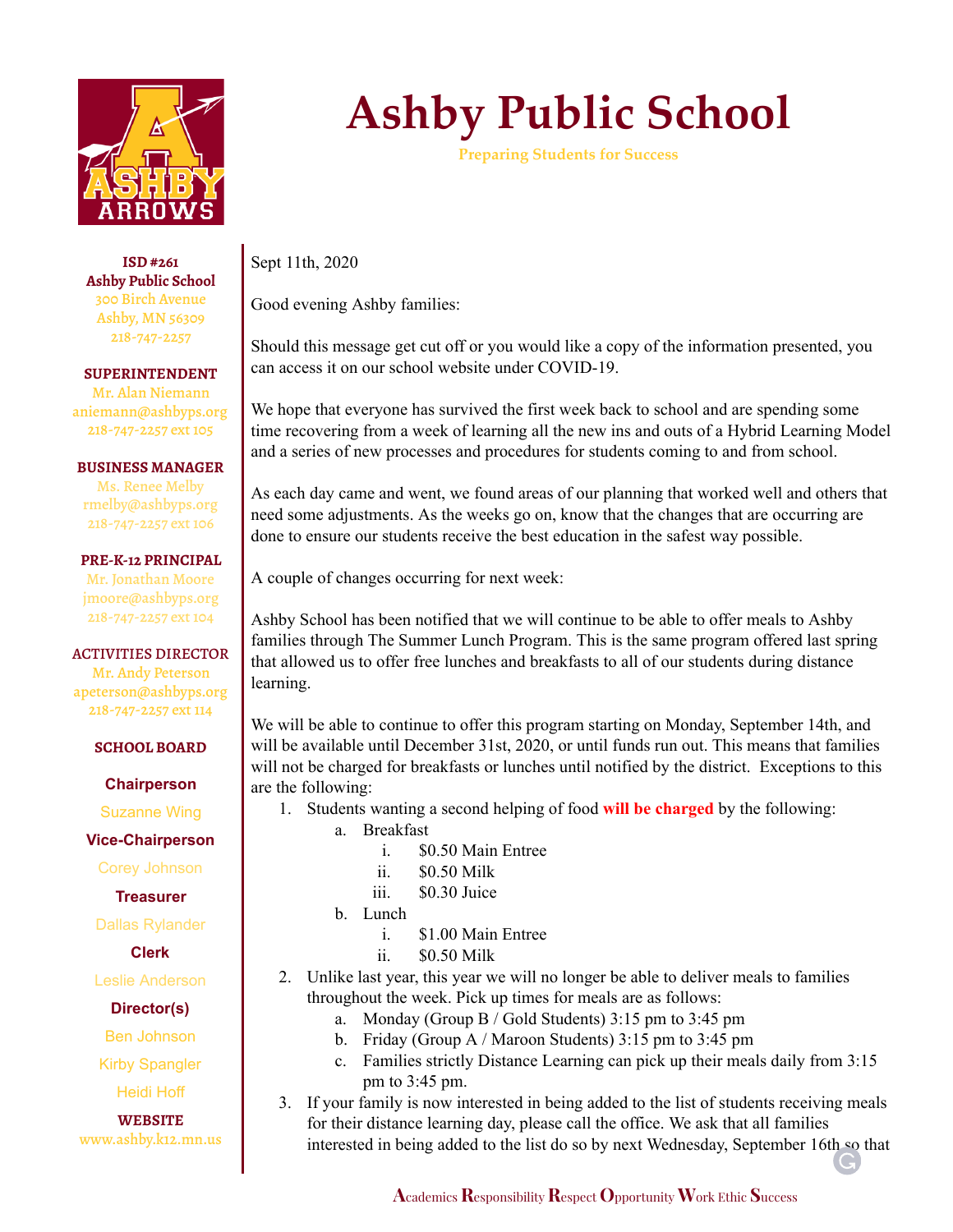

**ISD #261 Ashby Public School** 300 Birch Avenue Ashby, MN 56309 218-747-2257

**SUPERINTENDENT** Mr. Alan Niemann aniemann@ashbyps.org 218-747-2257 ext 105

## **BUSINESS MANAGER**

Ms. Renee Melby rmelby@ashbyps.org 218-747-2257 ext 106

### **PRE-K-12 PRINCIPAL**

Mr. Jonathan Moore jmoore@ashbyps.org 218-747-2257 ext 104

## ACTIVITIES DIRECTOR

Mr. Andy Peterson apeterson@ashbyps.org 218-747-2257 ext 114

### **SCHOOL BOARD**

**Chairperson**

Suzanne Wing

**Vice-Chairperson**

Corey Johnson

**Treasurer**

Dallas Rylander

**Clerk**

Leslie Anderson

**Director(s)**

Ben Johnson

Kirby Spangler

Heidi Hoff

**WEBSITE** www.ashby.k12.mn.us

# **Ashby Public School**

**Preparing Students for Success**

Sept 11th, 2020

Good evening Ashby families:

Should this message get cut off or you would like a copy of the information presented, you can access it on our school website under COVID-19.

We hope that everyone has survived the first week back to school and are spending some time recovering from a week of learning all the new ins and outs of a Hybrid Learning Model and a series of new processes and procedures for students coming to and from school.

As each day came and went, we found areas of our planning that worked well and others that need some adjustments. As the weeks go on, know that the changes that are occurring are done to ensure our students receive the best education in the safest way possible.

A couple of changes occurring for next week:

Ashby School has been notified that we will continue to be able to offer meals to Ashby families through The Summer Lunch Program. This is the same program offered last spring that allowed us to offer free lunches and breakfasts to all of our students during distance learning.

We will be able to continue to offer this program starting on Monday, September 14th, and will be available until December 31st, 2020, or until funds run out. This means that families will not be charged for breakfasts or lunches until notified by the district. Exceptions to this are the following:

- 1. Students wanting a second helping of food **will be charged** by the following:
	- a. Breakfast
		- i. \$0.50 Main Entree
		- ii. \$0.50 Milk
		- iii. \$0.30 Juice
	- b. Lunch
		- i. \$1.00 Main Entree
		- ii. \$0.50 Milk
- 2. Unlike last year, this year we will no longer be able to deliver meals to families throughout the week. Pick up times for meals are as follows:
	- a. Monday (Group B / Gold Students) 3:15 pm to 3:45 pm
	- b. Friday (Group A / Maroon Students) 3:15 pm to 3:45 pm
	- c. Families strictly Distance Learning can pick up their meals daily from 3:15 pm to 3:45 pm.
- 3. If your family is now interested in being added to the list of students receiving meals for their distance learning day, please call the office. We ask that all families interested in being added to the list do so by next Wednesday, September 16th so that

**A**cademics**R**esponsibility**R**espect **O**pportunity **W**ork Ethic **S**uccess